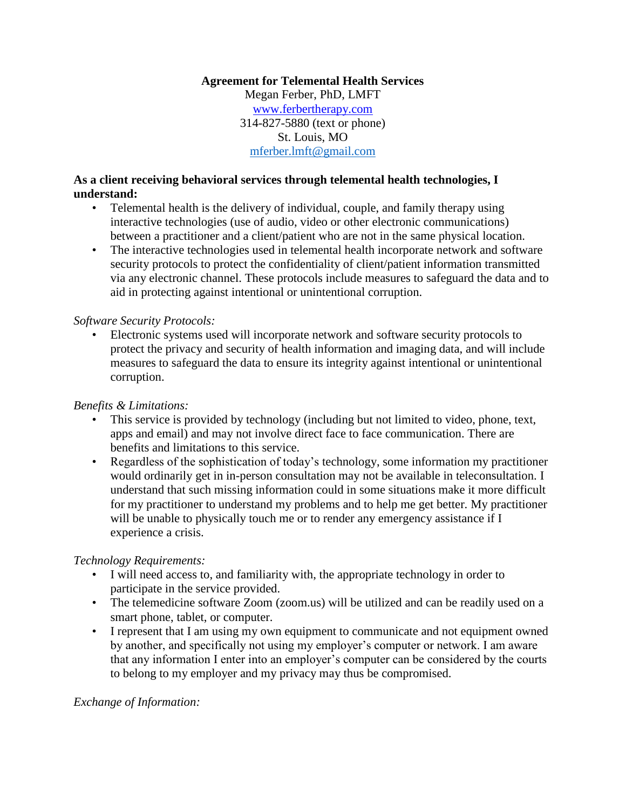#### **Agreement for Telemental Health Services** Megan Ferber, PhD, LMFT [www.ferbertherapy.com](http://www.ferbertherapy.com/) 314-827-5880 (text or phone) St. Louis, MO mferbe[r.lmft@gmail.com](mailto:Khr.lmft@gmail.com)

#### **As a client receiving behavioral services through telemental health technologies, I understand:**

- Telemental health is the delivery of individual, couple, and family therapy using interactive technologies (use of audio, video or other electronic communications) between a practitioner and a client/patient who are not in the same physical location.
- The interactive technologies used in telemental health incorporate network and software security protocols to protect the confidentiality of client/patient information transmitted via any electronic channel. These protocols include measures to safeguard the data and to aid in protecting against intentional or unintentional corruption.

## *Software Security Protocols:*

• Electronic systems used will incorporate network and software security protocols to protect the privacy and security of health information and imaging data, and will include measures to safeguard the data to ensure its integrity against intentional or unintentional corruption.

## *Benefits & Limitations:*

- This service is provided by technology (including but not limited to video, phone, text, apps and email) and may not involve direct face to face communication. There are benefits and limitations to this service.
- Regardless of the sophistication of today's technology, some information my practitioner would ordinarily get in in-person consultation may not be available in teleconsultation. I understand that such missing information could in some situations make it more difficult for my practitioner to understand my problems and to help me get better. My practitioner will be unable to physically touch me or to render any emergency assistance if I experience a crisis.

## *Technology Requirements:*

- I will need access to, and familiarity with, the appropriate technology in order to participate in the service provided.
- The telemedicine software Zoom (zoom.us) will be utilized and can be readily used on a smart phone, tablet, or computer.
- I represent that I am using my own equipment to communicate and not equipment owned by another, and specifically not using my employer's computer or network. I am aware that any information I enter into an employer's computer can be considered by the courts to belong to my employer and my privacy may thus be compromised.

## *Exchange of Information:*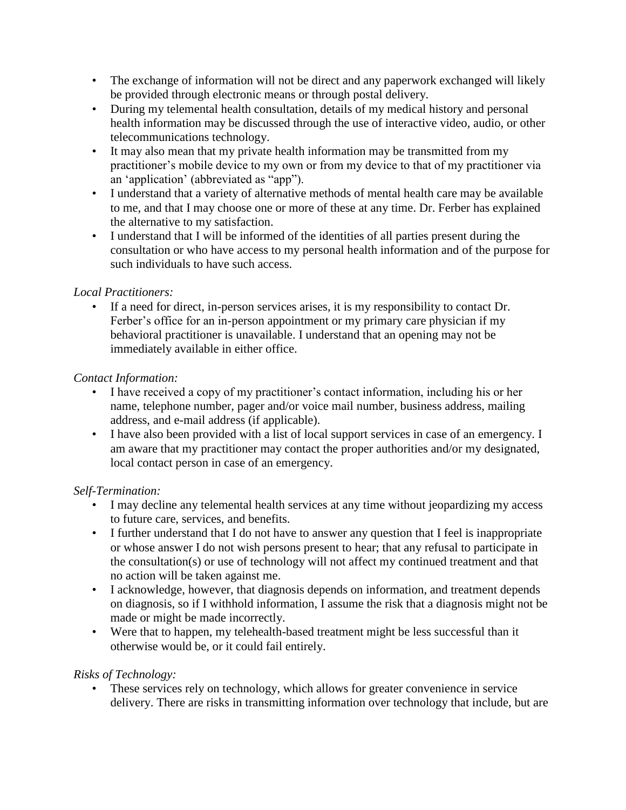- The exchange of information will not be direct and any paperwork exchanged will likely be provided through electronic means or through postal delivery.
- During my telemental health consultation, details of my medical history and personal health information may be discussed through the use of interactive video, audio, or other telecommunications technology.
- It may also mean that my private health information may be transmitted from my practitioner's mobile device to my own or from my device to that of my practitioner via an 'application' (abbreviated as "app").
- I understand that a variety of alternative methods of mental health care may be available to me, and that I may choose one or more of these at any time. Dr. Ferber has explained the alternative to my satisfaction.
- I understand that I will be informed of the identities of all parties present during the consultation or who have access to my personal health information and of the purpose for such individuals to have such access.

## *Local Practitioners:*

• If a need for direct, in-person services arises, it is my responsibility to contact Dr. Ferber's office for an in-person appointment or my primary care physician if my behavioral practitioner is unavailable. I understand that an opening may not be immediately available in either office.

## *Contact Information:*

- I have received a copy of my practitioner's contact information, including his or her name, telephone number, pager and/or voice mail number, business address, mailing address, and e-mail address (if applicable).
- I have also been provided with a list of local support services in case of an emergency. I am aware that my practitioner may contact the proper authorities and/or my designated, local contact person in case of an emergency.

# *Self-Termination:*

- I may decline any telemental health services at any time without jeopardizing my access to future care, services, and benefits.
- I further understand that I do not have to answer any question that I feel is inappropriate or whose answer I do not wish persons present to hear; that any refusal to participate in the consultation(s) or use of technology will not affect my continued treatment and that no action will be taken against me.
- I acknowledge, however, that diagnosis depends on information, and treatment depends on diagnosis, so if I withhold information, I assume the risk that a diagnosis might not be made or might be made incorrectly.
- Were that to happen, my telehealth-based treatment might be less successful than it otherwise would be, or it could fail entirely.

## *Risks of Technology:*

• These services rely on technology, which allows for greater convenience in service delivery. There are risks in transmitting information over technology that include, but are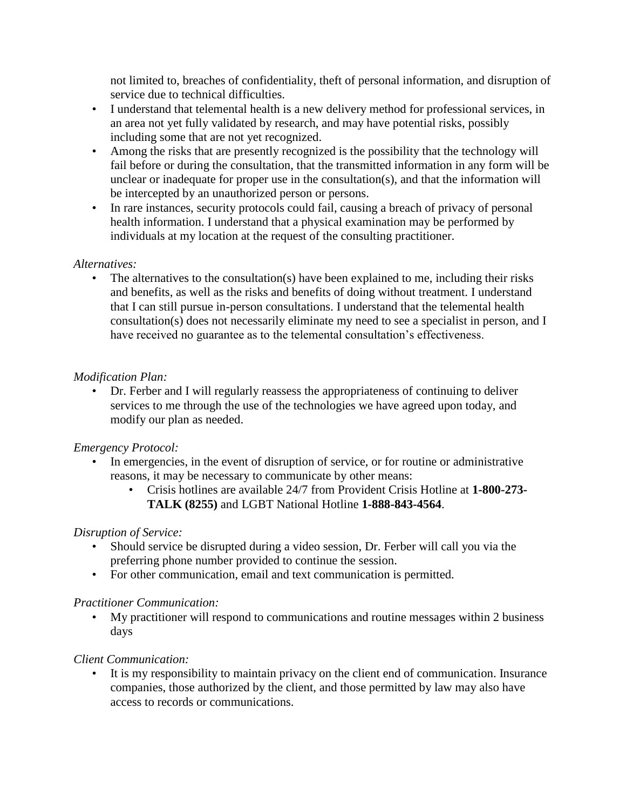not limited to, breaches of confidentiality, theft of personal information, and disruption of service due to technical difficulties.

- I understand that telemental health is a new delivery method for professional services, in an area not yet fully validated by research, and may have potential risks, possibly including some that are not yet recognized.
- Among the risks that are presently recognized is the possibility that the technology will fail before or during the consultation, that the transmitted information in any form will be unclear or inadequate for proper use in the consultation(s), and that the information will be intercepted by an unauthorized person or persons.
- In rare instances, security protocols could fail, causing a breach of privacy of personal health information. I understand that a physical examination may be performed by individuals at my location at the request of the consulting practitioner.

## *Alternatives:*

• The alternatives to the consultation(s) have been explained to me, including their risks and benefits, as well as the risks and benefits of doing without treatment. I understand that I can still pursue in-person consultations. I understand that the telemental health consultation(s) does not necessarily eliminate my need to see a specialist in person, and I have received no guarantee as to the telemental consultation's effectiveness.

# *Modification Plan:*

• Dr. Ferber and I will regularly reassess the appropriateness of continuing to deliver services to me through the use of the technologies we have agreed upon today, and modify our plan as needed.

# *Emergency Protocol:*

- In emergencies, in the event of disruption of service, or for routine or administrative reasons, it may be necessary to communicate by other means:
	- Crisis hotlines are available 24/7 from Provident Crisis Hotline at **1-800-273- TALK (8255)** and LGBT National Hotline **1-888-843-4564**.

# *Disruption of Service:*

- Should service be disrupted during a video session, Dr. Ferber will call you via the preferring phone number provided to continue the session.
- For other communication, email and text communication is permitted.

# *Practitioner Communication:*

• My practitioner will respond to communications and routine messages within 2 business days

# *Client Communication:*

• It is my responsibility to maintain privacy on the client end of communication. Insurance companies, those authorized by the client, and those permitted by law may also have access to records or communications.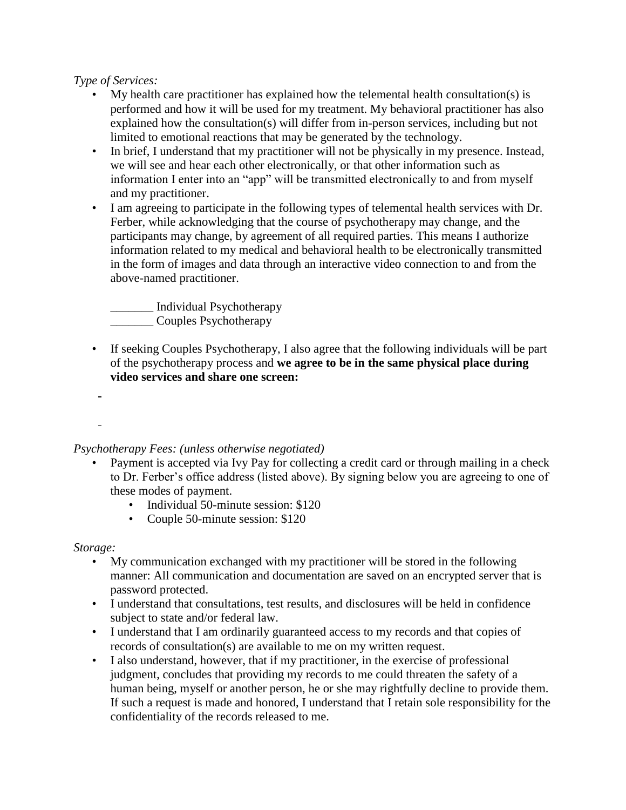## *Type of Services:*

- My health care practitioner has explained how the telemental health consultation(s) is performed and how it will be used for my treatment. My behavioral practitioner has also explained how the consultation(s) will differ from in-person services, including but not limited to emotional reactions that may be generated by the technology.
- In brief, I understand that my practitioner will not be physically in my presence. Instead, we will see and hear each other electronically, or that other information such as information I enter into an "app" will be transmitted electronically to and from myself and my practitioner.
- I am agreeing to participate in the following types of telemental health services with Dr. Ferber, while acknowledging that the course of psychotherapy may change, and the participants may change, by agreement of all required parties. This means I authorize information related to my medical and behavioral health to be electronically transmitted in the form of images and data through an interactive video connection to and from the above-named practitioner.

\_\_\_\_\_\_\_ Individual Psychotherapy \_\_\_\_\_\_\_ Couples Psychotherapy

• If seeking Couples Psychotherapy, I also agree that the following individuals will be part of the psychotherapy process and **we agree to be in the same physical place during video services and share one screen:**

## *Psychotherapy Fees: (unless otherwise negotiated)*

- Payment is accepted via Ivy Pay for collecting a credit card or through mailing in a check to Dr. Ferber's office address (listed above). By signing below you are agreeing to one of these modes of payment.
	- Individual 50-minute session: \$120
	- Couple 50-minute session: \$120

#### *Storage:*

- My communication exchanged with my practitioner will be stored in the following manner: All communication and documentation are saved on an encrypted server that is password protected.
- I understand that consultations, test results, and disclosures will be held in confidence subject to state and/or federal law.
- I understand that I am ordinarily guaranteed access to my records and that copies of records of consultation(s) are available to me on my written request.
- I also understand, however, that if my practitioner, in the exercise of professional judgment, concludes that providing my records to me could threaten the safety of a human being, myself or another person, he or she may rightfully decline to provide them. If such a request is made and honored, I understand that I retain sole responsibility for the confidentiality of the records released to me.